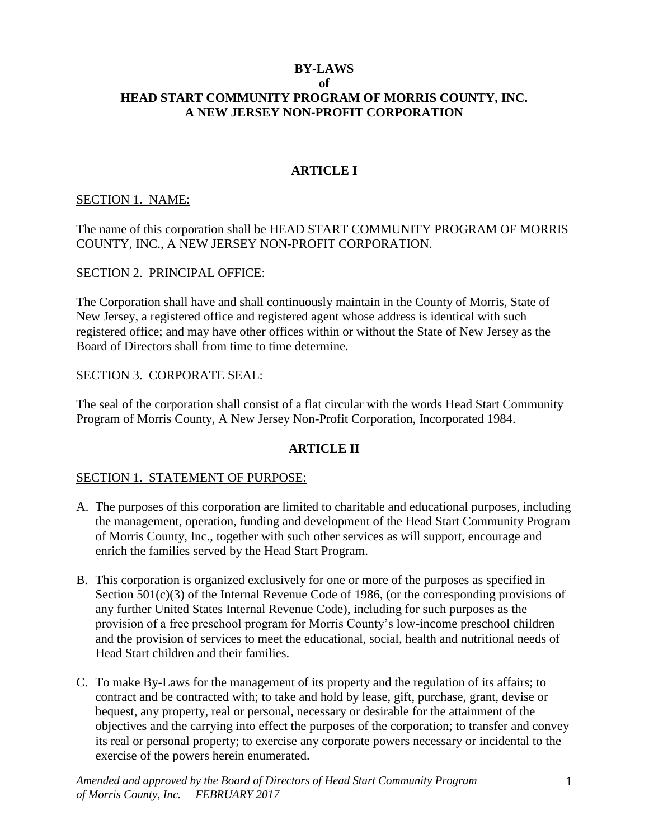#### **BY-LAWS of HEAD START COMMUNITY PROGRAM OF MORRIS COUNTY, INC. A NEW JERSEY NON-PROFIT CORPORATION**

#### **ARTICLE I**

#### SECTION 1. NAME:

The name of this corporation shall be HEAD START COMMUNITY PROGRAM OF MORRIS COUNTY, INC., A NEW JERSEY NON-PROFIT CORPORATION.

#### SECTION 2. PRINCIPAL OFFICE:

The Corporation shall have and shall continuously maintain in the County of Morris, State of New Jersey, a registered office and registered agent whose address is identical with such registered office; and may have other offices within or without the State of New Jersey as the Board of Directors shall from time to time determine.

#### SECTION 3. CORPORATE SEAL:

The seal of the corporation shall consist of a flat circular with the words Head Start Community Program of Morris County, A New Jersey Non-Profit Corporation, Incorporated 1984.

#### **ARTICLE II**

#### SECTION 1. STATEMENT OF PURPOSE:

- A. The purposes of this corporation are limited to charitable and educational purposes, including the management, operation, funding and development of the Head Start Community Program of Morris County, Inc., together with such other services as will support, encourage and enrich the families served by the Head Start Program.
- B. This corporation is organized exclusively for one or more of the purposes as specified in Section 501(c)(3) of the Internal Revenue Code of 1986, (or the corresponding provisions of any further United States Internal Revenue Code), including for such purposes as the provision of a free preschool program for Morris County's low-income preschool children and the provision of services to meet the educational, social, health and nutritional needs of Head Start children and their families.
- C. To make By-Laws for the management of its property and the regulation of its affairs; to contract and be contracted with; to take and hold by lease, gift, purchase, grant, devise or bequest, any property, real or personal, necessary or desirable for the attainment of the objectives and the carrying into effect the purposes of the corporation; to transfer and convey its real or personal property; to exercise any corporate powers necessary or incidental to the exercise of the powers herein enumerated.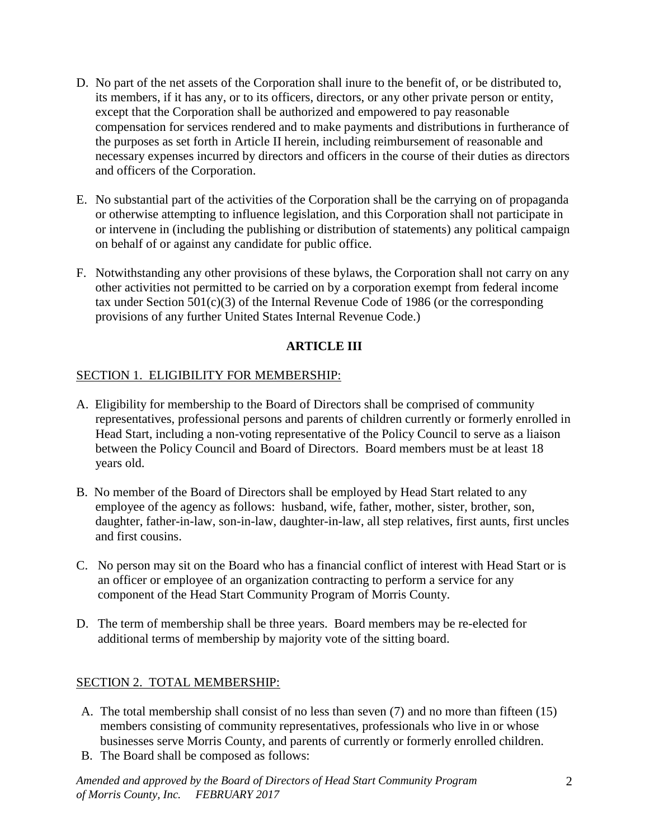- D. No part of the net assets of the Corporation shall inure to the benefit of, or be distributed to, its members, if it has any, or to its officers, directors, or any other private person or entity, except that the Corporation shall be authorized and empowered to pay reasonable compensation for services rendered and to make payments and distributions in furtherance of the purposes as set forth in Article II herein, including reimbursement of reasonable and necessary expenses incurred by directors and officers in the course of their duties as directors and officers of the Corporation.
- E. No substantial part of the activities of the Corporation shall be the carrying on of propaganda or otherwise attempting to influence legislation, and this Corporation shall not participate in or intervene in (including the publishing or distribution of statements) any political campaign on behalf of or against any candidate for public office.
- F. Notwithstanding any other provisions of these bylaws, the Corporation shall not carry on any other activities not permitted to be carried on by a corporation exempt from federal income tax under Section 501(c)(3) of the Internal Revenue Code of 1986 (or the corresponding provisions of any further United States Internal Revenue Code.)

# **ARTICLE III**

## SECTION 1. ELIGIBILITY FOR MEMBERSHIP:

- A. Eligibility for membership to the Board of Directors shall be comprised of community representatives, professional persons and parents of children currently or formerly enrolled in Head Start, including a non-voting representative of the Policy Council to serve as a liaison between the Policy Council and Board of Directors. Board members must be at least 18 years old.
- B. No member of the Board of Directors shall be employed by Head Start related to any employee of the agency as follows: husband, wife, father, mother, sister, brother, son, daughter, father-in-law, son-in-law, daughter-in-law, all step relatives, first aunts, first uncles and first cousins.
- C. No person may sit on the Board who has a financial conflict of interest with Head Start or is an officer or employee of an organization contracting to perform a service for any component of the Head Start Community Program of Morris County.
- D. The term of membership shall be three years. Board members may be re-elected for additional terms of membership by majority vote of the sitting board.

## SECTION 2. TOTAL MEMBERSHIP:

- A. The total membership shall consist of no less than seven (7) and no more than fifteen (15) members consisting of community representatives, professionals who live in or whose businesses serve Morris County, and parents of currently or formerly enrolled children.
- B. The Board shall be composed as follows: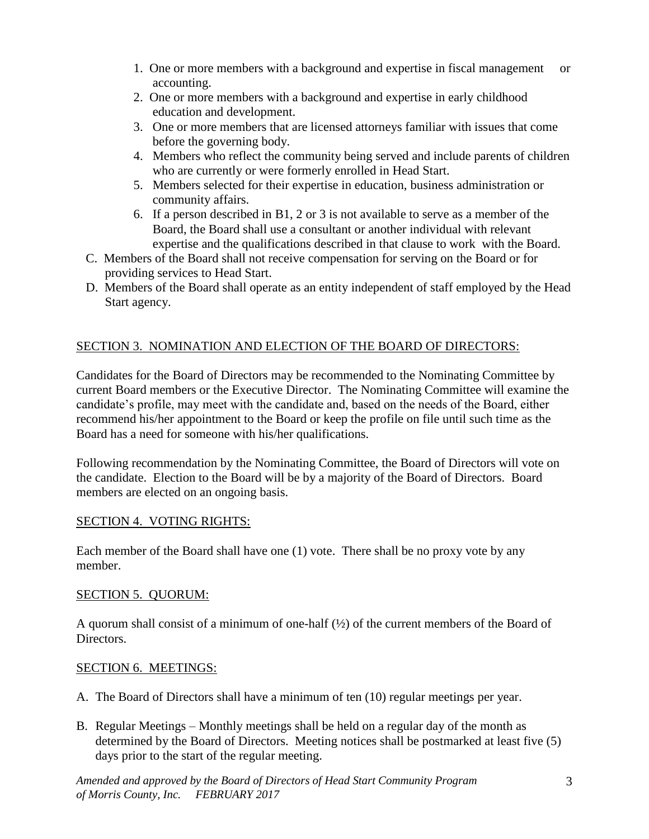- 1. One or more members with a background and expertise in fiscal management or accounting.
- 2. One or more members with a background and expertise in early childhood education and development.
- 3. One or more members that are licensed attorneys familiar with issues that come before the governing body.
- 4. Members who reflect the community being served and include parents of children who are currently or were formerly enrolled in Head Start.
- 5. Members selected for their expertise in education, business administration or community affairs.
- 6. If a person described in B1, 2 or 3 is not available to serve as a member of the Board, the Board shall use a consultant or another individual with relevant expertise and the qualifications described in that clause to work with the Board.
- C. Members of the Board shall not receive compensation for serving on the Board or for providing services to Head Start.
- D. Members of the Board shall operate as an entity independent of staff employed by the Head Start agency.

# SECTION 3. NOMINATION AND ELECTION OF THE BOARD OF DIRECTORS:

Candidates for the Board of Directors may be recommended to the Nominating Committee by current Board members or the Executive Director. The Nominating Committee will examine the candidate's profile, may meet with the candidate and, based on the needs of the Board, either recommend his/her appointment to the Board or keep the profile on file until such time as the Board has a need for someone with his/her qualifications.

Following recommendation by the Nominating Committee, the Board of Directors will vote on the candidate. Election to the Board will be by a majority of the Board of Directors. Board members are elected on an ongoing basis.

## SECTION 4. VOTING RIGHTS:

Each member of the Board shall have one (1) vote. There shall be no proxy vote by any member.

#### SECTION 5. QUORUM:

A quorum shall consist of a minimum of one-half (½) of the current members of the Board of Directors.

#### SECTION 6. MEETINGS:

- A. The Board of Directors shall have a minimum of ten (10) regular meetings per year.
- B. Regular Meetings Monthly meetings shall be held on a regular day of the month as determined by the Board of Directors. Meeting notices shall be postmarked at least five (5) days prior to the start of the regular meeting.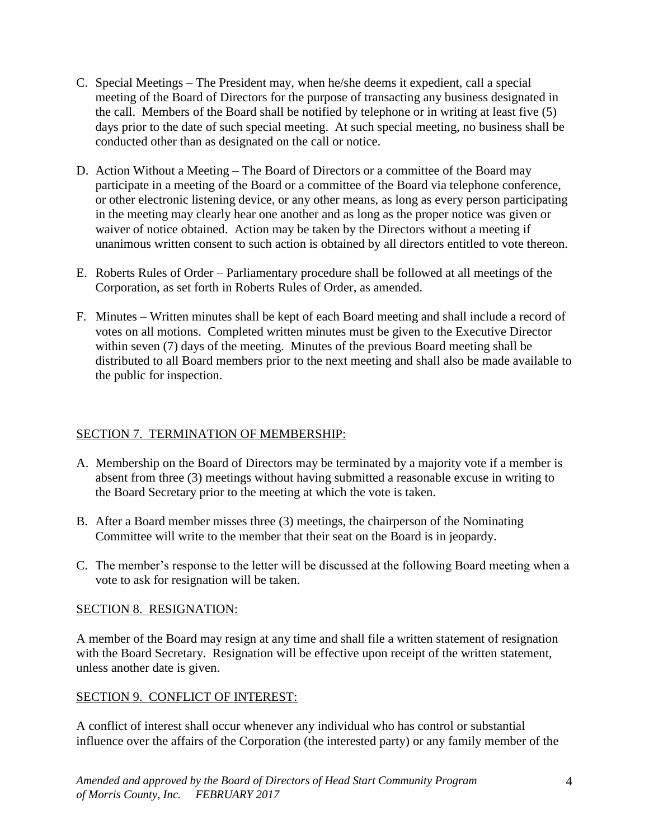- C. Special Meetings The President may, when he/she deems it expedient, call a special meeting of the Board of Directors for the purpose of transacting any business designated in the call. Members of the Board shall be notified by telephone or in writing at least five (5) days prior to the date of such special meeting. At such special meeting, no business shall be conducted other than as designated on the call or notice.
- D. Action Without a Meeting The Board of Directors or a committee of the Board may participate in a meeting of the Board or a committee of the Board via telephone conference, or other electronic listening device, or any other means, as long as every person participating in the meeting may clearly hear one another and as long as the proper notice was given or waiver of notice obtained. Action may be taken by the Directors without a meeting if unanimous written consent to such action is obtained by all directors entitled to vote thereon.
- E. Roberts Rules of Order Parliamentary procedure shall be followed at all meetings of the Corporation, as set forth in Roberts Rules of Order, as amended.
- F. Minutes Written minutes shall be kept of each Board meeting and shall include a record of votes on all motions. Completed written minutes must be given to the Executive Director within seven (7) days of the meeting. Minutes of the previous Board meeting shall be distributed to all Board members prior to the next meeting and shall also be made available to the public for inspection.

## SECTION 7. TERMINATION OF MEMBERSHIP:

- A. Membership on the Board of Directors may be terminated by a majority vote if a member is absent from three (3) meetings without having submitted a reasonable excuse in writing to the Board Secretary prior to the meeting at which the vote is taken.
- B. After a Board member misses three (3) meetings, the chairperson of the Nominating Committee will write to the member that their seat on the Board is in jeopardy.
- C. The member's response to the letter will be discussed at the following Board meeting when a vote to ask for resignation will be taken.

## SECTION 8. RESIGNATION:

A member of the Board may resign at any time and shall file a written statement of resignation with the Board Secretary. Resignation will be effective upon receipt of the written statement, unless another date is given.

## SECTION 9. CONFLICT OF INTEREST:

A conflict of interest shall occur whenever any individual who has control or substantial influence over the affairs of the Corporation (the interested party) or any family member of the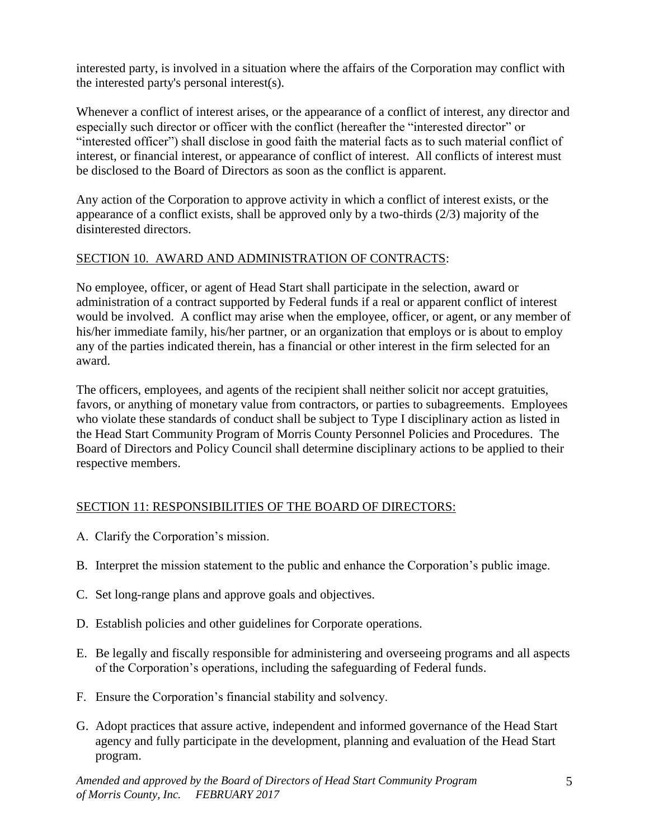interested party, is involved in a situation where the affairs of the Corporation may conflict with the interested party's personal interest(s).

Whenever a conflict of interest arises, or the appearance of a conflict of interest, any director and especially such director or officer with the conflict (hereafter the "interested director" or "interested officer") shall disclose in good faith the material facts as to such material conflict of interest, or financial interest, or appearance of conflict of interest. All conflicts of interest must be disclosed to the Board of Directors as soon as the conflict is apparent.

Any action of the Corporation to approve activity in which a conflict of interest exists, or the appearance of a conflict exists, shall be approved only by a two-thirds (2/3) majority of the disinterested directors.

## SECTION 10. AWARD AND ADMINISTRATION OF CONTRACTS:

No employee, officer, or agent of Head Start shall participate in the selection, award or administration of a contract supported by Federal funds if a real or apparent conflict of interest would be involved. A conflict may arise when the employee, officer, or agent, or any member of his/her immediate family, his/her partner, or an organization that employs or is about to employ any of the parties indicated therein, has a financial or other interest in the firm selected for an award.

The officers, employees, and agents of the recipient shall neither solicit nor accept gratuities, favors, or anything of monetary value from contractors, or parties to subagreements. Employees who violate these standards of conduct shall be subject to Type I disciplinary action as listed in the Head Start Community Program of Morris County Personnel Policies and Procedures. The Board of Directors and Policy Council shall determine disciplinary actions to be applied to their respective members.

# SECTION 11: RESPONSIBILITIES OF THE BOARD OF DIRECTORS:

- A. Clarify the Corporation's mission.
- B. Interpret the mission statement to the public and enhance the Corporation's public image.
- C. Set long-range plans and approve goals and objectives.
- D. Establish policies and other guidelines for Corporate operations.
- E. Be legally and fiscally responsible for administering and overseeing programs and all aspects of the Corporation's operations, including the safeguarding of Federal funds.
- F. Ensure the Corporation's financial stability and solvency.
- G. Adopt practices that assure active, independent and informed governance of the Head Start agency and fully participate in the development, planning and evaluation of the Head Start program.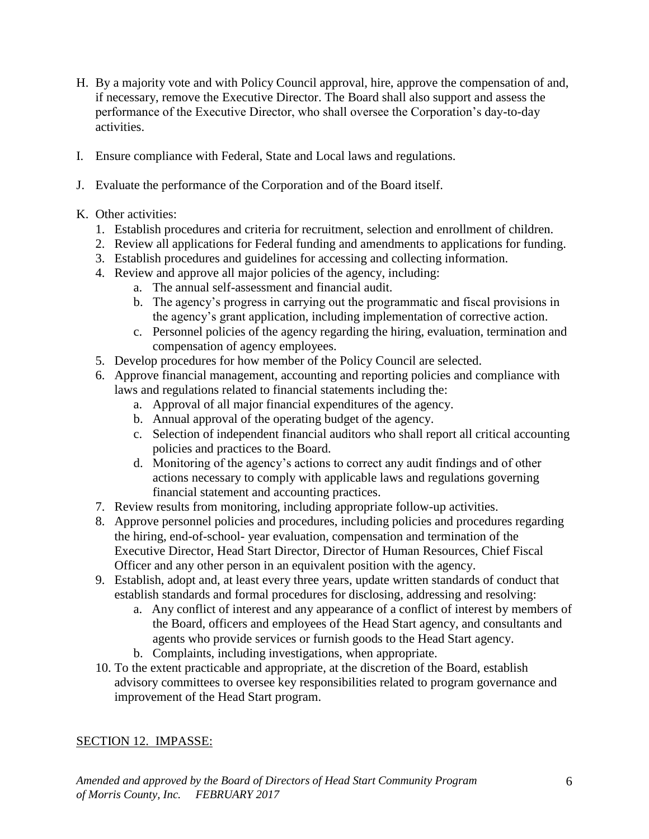- H. By a majority vote and with Policy Council approval, hire, approve the compensation of and, if necessary, remove the Executive Director. The Board shall also support and assess the performance of the Executive Director, who shall oversee the Corporation's day-to-day activities.
- I. Ensure compliance with Federal, State and Local laws and regulations.
- J. Evaluate the performance of the Corporation and of the Board itself.
- K. Other activities:
	- 1. Establish procedures and criteria for recruitment, selection and enrollment of children.
	- 2. Review all applications for Federal funding and amendments to applications for funding.
	- 3. Establish procedures and guidelines for accessing and collecting information.
	- 4. Review and approve all major policies of the agency, including:
		- a. The annual self-assessment and financial audit.
		- b. The agency's progress in carrying out the programmatic and fiscal provisions in the agency's grant application, including implementation of corrective action.
		- c. Personnel policies of the agency regarding the hiring, evaluation, termination and compensation of agency employees.
	- 5. Develop procedures for how member of the Policy Council are selected.
	- 6. Approve financial management, accounting and reporting policies and compliance with laws and regulations related to financial statements including the:
		- a. Approval of all major financial expenditures of the agency.
		- b. Annual approval of the operating budget of the agency.
		- c. Selection of independent financial auditors who shall report all critical accounting policies and practices to the Board.
		- d. Monitoring of the agency's actions to correct any audit findings and of other actions necessary to comply with applicable laws and regulations governing financial statement and accounting practices.
	- 7. Review results from monitoring, including appropriate follow-up activities.
	- 8. Approve personnel policies and procedures, including policies and procedures regarding the hiring, end-of-school- year evaluation, compensation and termination of the Executive Director, Head Start Director, Director of Human Resources, Chief Fiscal Officer and any other person in an equivalent position with the agency.
	- 9. Establish, adopt and, at least every three years, update written standards of conduct that establish standards and formal procedures for disclosing, addressing and resolving:
		- a. Any conflict of interest and any appearance of a conflict of interest by members of the Board, officers and employees of the Head Start agency, and consultants and agents who provide services or furnish goods to the Head Start agency.
		- b. Complaints, including investigations, when appropriate.
	- 10. To the extent practicable and appropriate, at the discretion of the Board, establish advisory committees to oversee key responsibilities related to program governance and improvement of the Head Start program.

## SECTION 12. IMPASSE: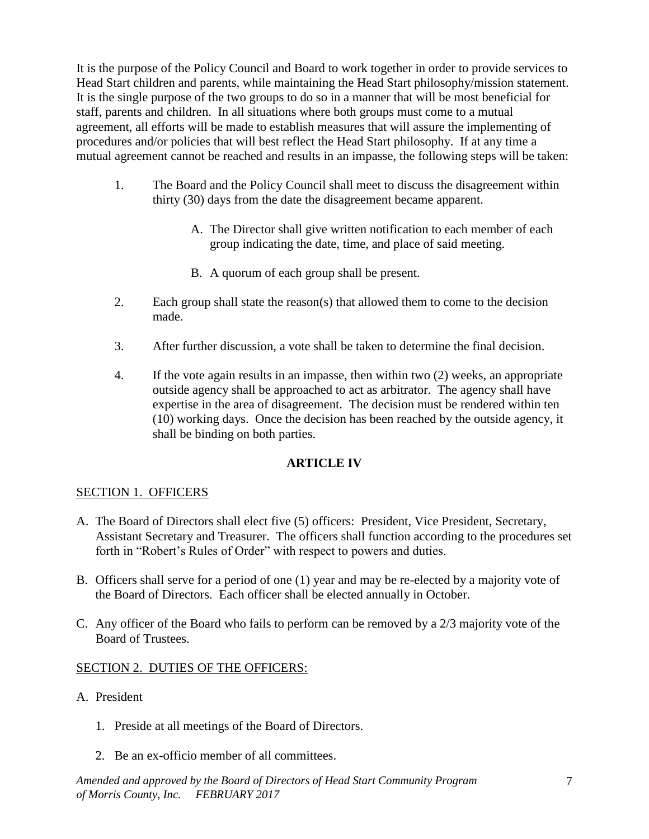It is the purpose of the Policy Council and Board to work together in order to provide services to Head Start children and parents, while maintaining the Head Start philosophy/mission statement. It is the single purpose of the two groups to do so in a manner that will be most beneficial for staff, parents and children. In all situations where both groups must come to a mutual agreement, all efforts will be made to establish measures that will assure the implementing of procedures and/or policies that will best reflect the Head Start philosophy. If at any time a mutual agreement cannot be reached and results in an impasse, the following steps will be taken:

- 1. The Board and the Policy Council shall meet to discuss the disagreement within thirty (30) days from the date the disagreement became apparent.
	- A. The Director shall give written notification to each member of each group indicating the date, time, and place of said meeting.
	- B. A quorum of each group shall be present.
- 2. Each group shall state the reason(s) that allowed them to come to the decision made.
- 3. After further discussion, a vote shall be taken to determine the final decision.
- 4. If the vote again results in an impasse, then within two (2) weeks, an appropriate outside agency shall be approached to act as arbitrator. The agency shall have expertise in the area of disagreement. The decision must be rendered within ten (10) working days. Once the decision has been reached by the outside agency, it shall be binding on both parties.

## **ARTICLE IV**

# SECTION 1. OFFICERS

- A. The Board of Directors shall elect five (5) officers: President, Vice President, Secretary, Assistant Secretary and Treasurer. The officers shall function according to the procedures set forth in "Robert's Rules of Order" with respect to powers and duties.
- B. Officers shall serve for a period of one (1) year and may be re-elected by a majority vote of the Board of Directors. Each officer shall be elected annually in October.
- C. Any officer of the Board who fails to perform can be removed by a 2/3 majority vote of the Board of Trustees.

## SECTION 2. DUTIES OF THE OFFICERS:

- A. President
	- 1. Preside at all meetings of the Board of Directors.
	- 2. Be an ex-officio member of all committees.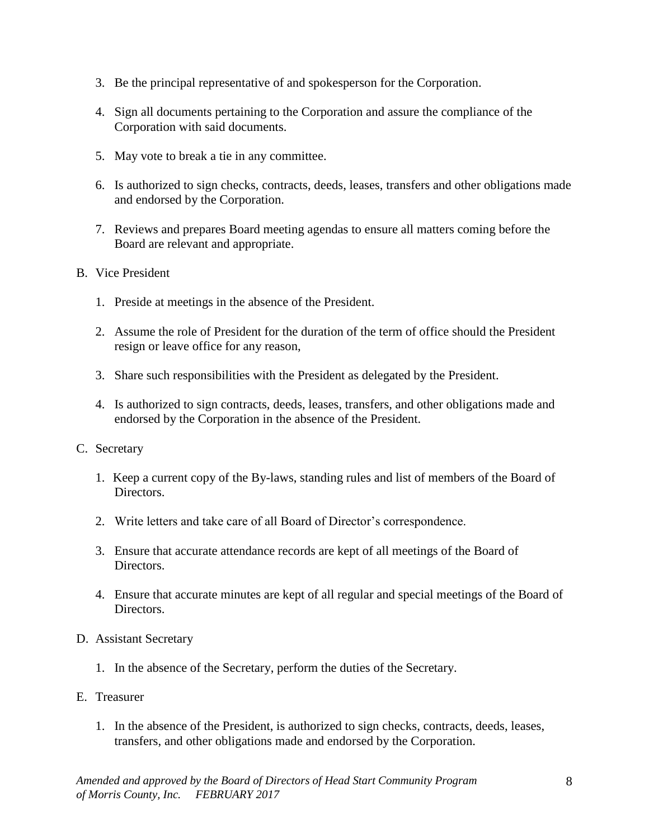- 3. Be the principal representative of and spokesperson for the Corporation.
- 4. Sign all documents pertaining to the Corporation and assure the compliance of the Corporation with said documents.
- 5. May vote to break a tie in any committee.
- 6. Is authorized to sign checks, contracts, deeds, leases, transfers and other obligations made and endorsed by the Corporation.
- 7. Reviews and prepares Board meeting agendas to ensure all matters coming before the Board are relevant and appropriate.
- B. Vice President
	- 1. Preside at meetings in the absence of the President.
	- 2. Assume the role of President for the duration of the term of office should the President resign or leave office for any reason,
	- 3. Share such responsibilities with the President as delegated by the President.
	- 4. Is authorized to sign contracts, deeds, leases, transfers, and other obligations made and endorsed by the Corporation in the absence of the President.
- C. Secretary
	- 1. Keep a current copy of the By-laws, standing rules and list of members of the Board of Directors.
	- 2. Write letters and take care of all Board of Director's correspondence.
	- 3. Ensure that accurate attendance records are kept of all meetings of the Board of Directors.
	- 4. Ensure that accurate minutes are kept of all regular and special meetings of the Board of Directors.
- D. Assistant Secretary
	- 1. In the absence of the Secretary, perform the duties of the Secretary.
- E. Treasurer
	- 1. In the absence of the President, is authorized to sign checks, contracts, deeds, leases, transfers, and other obligations made and endorsed by the Corporation.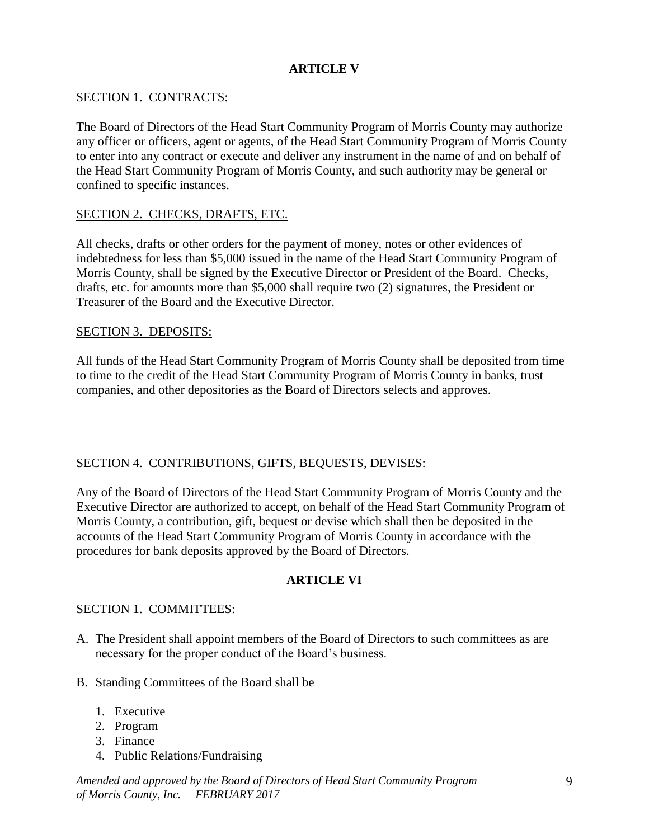## **ARTICLE V**

## SECTION 1. CONTRACTS:

The Board of Directors of the Head Start Community Program of Morris County may authorize any officer or officers, agent or agents, of the Head Start Community Program of Morris County to enter into any contract or execute and deliver any instrument in the name of and on behalf of the Head Start Community Program of Morris County, and such authority may be general or confined to specific instances.

## SECTION 2. CHECKS, DRAFTS, ETC.

All checks, drafts or other orders for the payment of money, notes or other evidences of indebtedness for less than \$5,000 issued in the name of the Head Start Community Program of Morris County, shall be signed by the Executive Director or President of the Board. Checks, drafts, etc. for amounts more than \$5,000 shall require two (2) signatures, the President or Treasurer of the Board and the Executive Director.

## SECTION 3. DEPOSITS:

All funds of the Head Start Community Program of Morris County shall be deposited from time to time to the credit of the Head Start Community Program of Morris County in banks, trust companies, and other depositories as the Board of Directors selects and approves.

## SECTION 4. CONTRIBUTIONS, GIFTS, BEQUESTS, DEVISES:

Any of the Board of Directors of the Head Start Community Program of Morris County and the Executive Director are authorized to accept, on behalf of the Head Start Community Program of Morris County, a contribution, gift, bequest or devise which shall then be deposited in the accounts of the Head Start Community Program of Morris County in accordance with the procedures for bank deposits approved by the Board of Directors.

## **ARTICLE VI**

## SECTION 1. COMMITTEES:

- A. The President shall appoint members of the Board of Directors to such committees as are necessary for the proper conduct of the Board's business.
- B. Standing Committees of the Board shall be
	- 1. Executive
	- 2. Program
	- 3. Finance
	- 4. Public Relations/Fundraising

*Amended and approved by the Board of Directors of Head Start Community Program of Morris County, Inc. FEBRUARY 2017*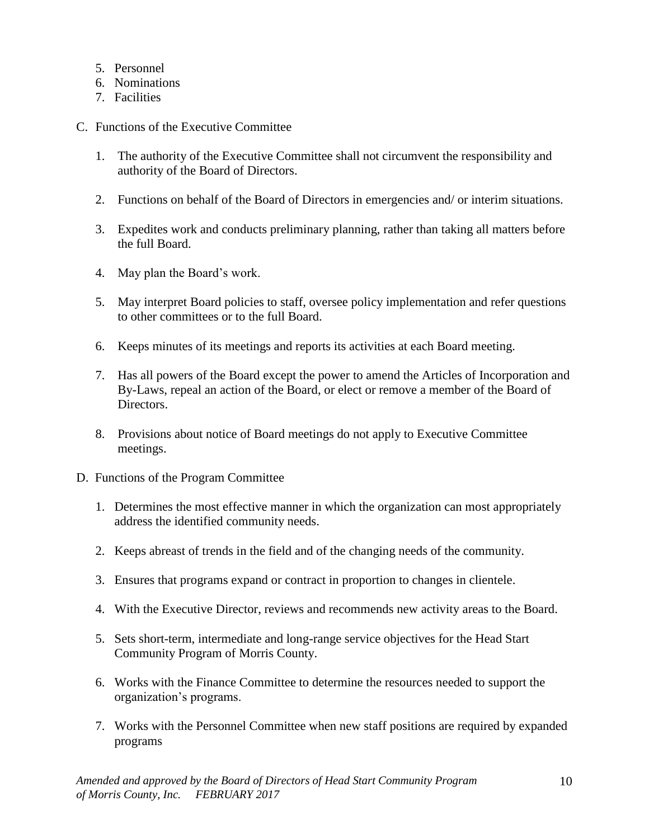- 5. Personnel
- 6. Nominations
- 7. Facilities
- C. Functions of the Executive Committee
	- 1. The authority of the Executive Committee shall not circumvent the responsibility and authority of the Board of Directors.
	- 2. Functions on behalf of the Board of Directors in emergencies and/ or interim situations.
	- 3. Expedites work and conducts preliminary planning, rather than taking all matters before the full Board.
	- 4. May plan the Board's work.
	- 5. May interpret Board policies to staff, oversee policy implementation and refer questions to other committees or to the full Board.
	- 6. Keeps minutes of its meetings and reports its activities at each Board meeting.
	- 7. Has all powers of the Board except the power to amend the Articles of Incorporation and By-Laws, repeal an action of the Board, or elect or remove a member of the Board of Directors.
	- 8. Provisions about notice of Board meetings do not apply to Executive Committee meetings.
- D. Functions of the Program Committee
	- 1. Determines the most effective manner in which the organization can most appropriately address the identified community needs.
	- 2. Keeps abreast of trends in the field and of the changing needs of the community.
	- 3. Ensures that programs expand or contract in proportion to changes in clientele.
	- 4. With the Executive Director, reviews and recommends new activity areas to the Board.
	- 5. Sets short-term, intermediate and long-range service objectives for the Head Start Community Program of Morris County.
	- 6. Works with the Finance Committee to determine the resources needed to support the organization's programs.
	- 7. Works with the Personnel Committee when new staff positions are required by expanded programs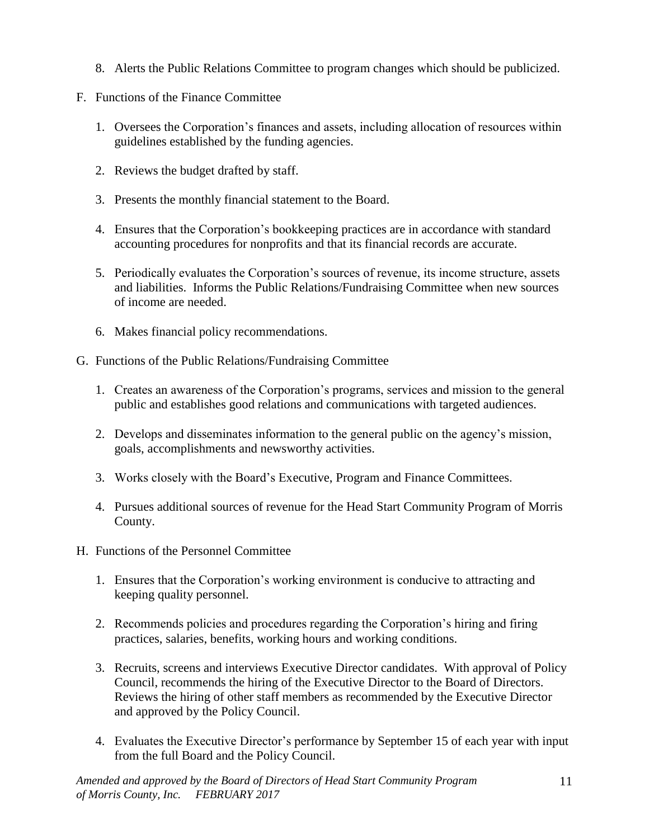- 8. Alerts the Public Relations Committee to program changes which should be publicized.
- F. Functions of the Finance Committee
	- 1. Oversees the Corporation's finances and assets, including allocation of resources within guidelines established by the funding agencies.
	- 2. Reviews the budget drafted by staff.
	- 3. Presents the monthly financial statement to the Board.
	- 4. Ensures that the Corporation's bookkeeping practices are in accordance with standard accounting procedures for nonprofits and that its financial records are accurate.
	- 5. Periodically evaluates the Corporation's sources of revenue, its income structure, assets and liabilities. Informs the Public Relations/Fundraising Committee when new sources of income are needed.
	- 6. Makes financial policy recommendations.
- G. Functions of the Public Relations/Fundraising Committee
	- 1. Creates an awareness of the Corporation's programs, services and mission to the general public and establishes good relations and communications with targeted audiences.
	- 2. Develops and disseminates information to the general public on the agency's mission, goals, accomplishments and newsworthy activities.
	- 3. Works closely with the Board's Executive, Program and Finance Committees.
	- 4. Pursues additional sources of revenue for the Head Start Community Program of Morris County.
- H. Functions of the Personnel Committee
	- 1. Ensures that the Corporation's working environment is conducive to attracting and keeping quality personnel.
	- 2. Recommends policies and procedures regarding the Corporation's hiring and firing practices, salaries, benefits, working hours and working conditions.
	- 3. Recruits, screens and interviews Executive Director candidates. With approval of Policy Council, recommends the hiring of the Executive Director to the Board of Directors. Reviews the hiring of other staff members as recommended by the Executive Director and approved by the Policy Council.
	- 4. Evaluates the Executive Director's performance by September 15 of each year with input from the full Board and the Policy Council.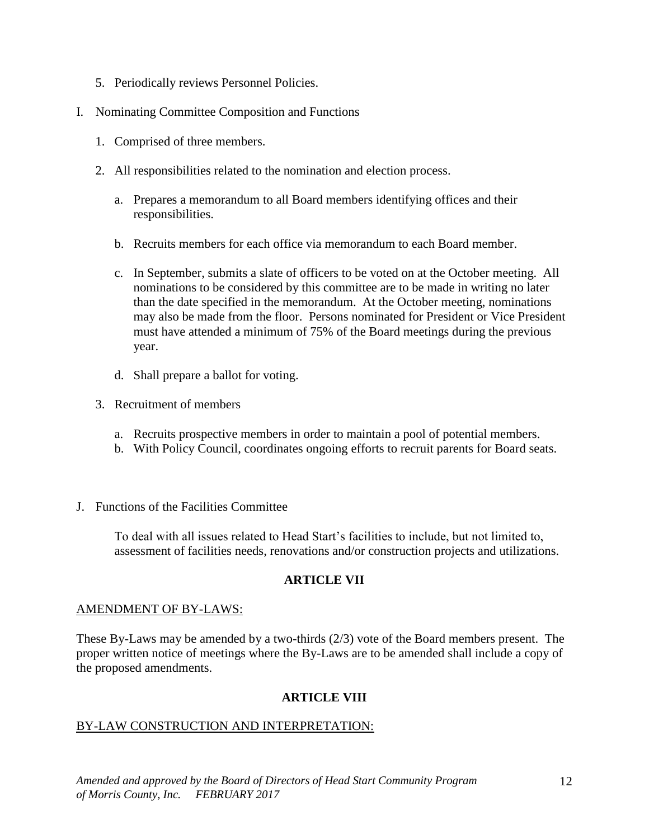- 5. Periodically reviews Personnel Policies.
- I. Nominating Committee Composition and Functions
	- 1. Comprised of three members.
	- 2. All responsibilities related to the nomination and election process.
		- a. Prepares a memorandum to all Board members identifying offices and their responsibilities.
		- b. Recruits members for each office via memorandum to each Board member.
		- c. In September, submits a slate of officers to be voted on at the October meeting. All nominations to be considered by this committee are to be made in writing no later than the date specified in the memorandum. At the October meeting, nominations may also be made from the floor. Persons nominated for President or Vice President must have attended a minimum of 75% of the Board meetings during the previous year.
		- d. Shall prepare a ballot for voting.
	- 3. Recruitment of members
		- a. Recruits prospective members in order to maintain a pool of potential members.
		- b. With Policy Council, coordinates ongoing efforts to recruit parents for Board seats.
- J. Functions of the Facilities Committee

To deal with all issues related to Head Start's facilities to include, but not limited to, assessment of facilities needs, renovations and/or construction projects and utilizations.

# **ARTICLE VII**

#### AMENDMENT OF BY-LAWS:

These By-Laws may be amended by a two-thirds (2/3) vote of the Board members present. The proper written notice of meetings where the By-Laws are to be amended shall include a copy of the proposed amendments.

## **ARTICLE VIII**

## BY-LAW CONSTRUCTION AND INTERPRETATION: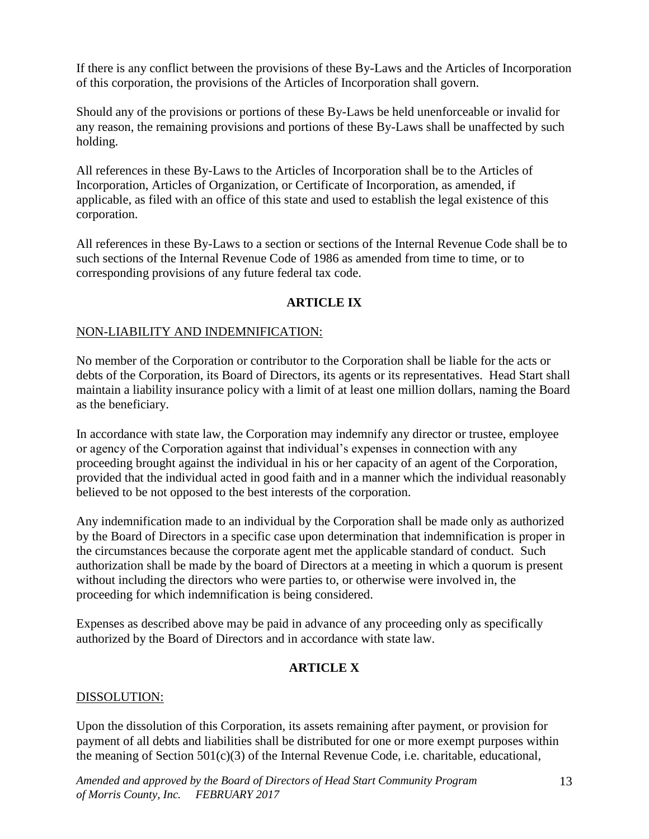If there is any conflict between the provisions of these By-Laws and the Articles of Incorporation of this corporation, the provisions of the Articles of Incorporation shall govern.

Should any of the provisions or portions of these By-Laws be held unenforceable or invalid for any reason, the remaining provisions and portions of these By-Laws shall be unaffected by such holding.

All references in these By-Laws to the Articles of Incorporation shall be to the Articles of Incorporation, Articles of Organization, or Certificate of Incorporation, as amended, if applicable, as filed with an office of this state and used to establish the legal existence of this corporation.

All references in these By-Laws to a section or sections of the Internal Revenue Code shall be to such sections of the Internal Revenue Code of 1986 as amended from time to time, or to corresponding provisions of any future federal tax code.

## **ARTICLE IX**

## NON-LIABILITY AND INDEMNIFICATION:

No member of the Corporation or contributor to the Corporation shall be liable for the acts or debts of the Corporation, its Board of Directors, its agents or its representatives. Head Start shall maintain a liability insurance policy with a limit of at least one million dollars, naming the Board as the beneficiary.

In accordance with state law, the Corporation may indemnify any director or trustee, employee or agency of the Corporation against that individual's expenses in connection with any proceeding brought against the individual in his or her capacity of an agent of the Corporation, provided that the individual acted in good faith and in a manner which the individual reasonably believed to be not opposed to the best interests of the corporation.

Any indemnification made to an individual by the Corporation shall be made only as authorized by the Board of Directors in a specific case upon determination that indemnification is proper in the circumstances because the corporate agent met the applicable standard of conduct. Such authorization shall be made by the board of Directors at a meeting in which a quorum is present without including the directors who were parties to, or otherwise were involved in, the proceeding for which indemnification is being considered.

Expenses as described above may be paid in advance of any proceeding only as specifically authorized by the Board of Directors and in accordance with state law.

## **ARTICLE X**

#### DISSOLUTION:

Upon the dissolution of this Corporation, its assets remaining after payment, or provision for payment of all debts and liabilities shall be distributed for one or more exempt purposes within the meaning of Section 501(c)(3) of the Internal Revenue Code, i.e. charitable, educational,